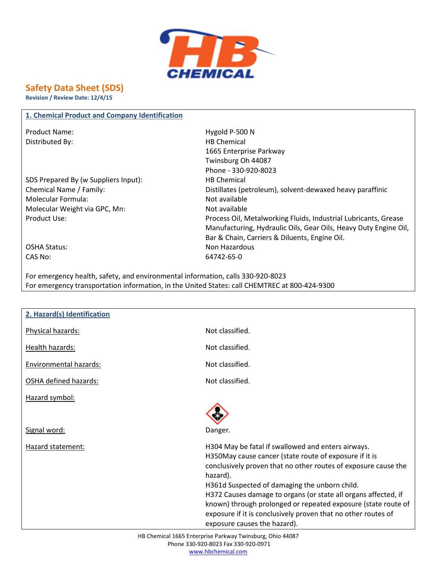

## **Safety Data Sheet (SDS)**

**Revision / Review Date: 12/4/15**

## **1. Chemical Product and Company Identification**

Distributed By: HB Chemical

SDS Prepared By (w Suppliers Input): HB Chemical Molecular Formula: Not available Molecular Weight via GPC, Mn: Not available

Product Name: Name: Name: Name Research 2012 12:30 N 1665 Enterprise Parkway Twinsburg Oh 44087 Phone - 330-920-8023 Chemical Name / Family: Distillates (petroleum), solvent-dewaxed heavy paraffinic Product Use: Process Oil, Metalworking Fluids, Industrial Lubricants, Grease Manufacturing, Hydraulic Oils, Gear Oils, Heavy Duty Engine Oil, Bar & Chain, Carriers & Diluents, Engine Oil. OSHA Status: Non Hazardous

CAS No: 64742-65-0

For emergency health, safety, and environmental information, calls 330-920-8023 For emergency transportation information, in the United States: call CHEMTREC at 800-424-9300

| 2. Hazard(s) Identification   |                                                                                                                                                                                                                                                                                                                                                                                                                                                                                 |
|-------------------------------|---------------------------------------------------------------------------------------------------------------------------------------------------------------------------------------------------------------------------------------------------------------------------------------------------------------------------------------------------------------------------------------------------------------------------------------------------------------------------------|
| Physical hazards:             | Not classified.                                                                                                                                                                                                                                                                                                                                                                                                                                                                 |
| Health hazards:               | Not classified.                                                                                                                                                                                                                                                                                                                                                                                                                                                                 |
| <b>Environmental hazards:</b> | Not classified.                                                                                                                                                                                                                                                                                                                                                                                                                                                                 |
| OSHA defined hazards:         | Not classified.                                                                                                                                                                                                                                                                                                                                                                                                                                                                 |
| Hazard symbol:                |                                                                                                                                                                                                                                                                                                                                                                                                                                                                                 |
|                               |                                                                                                                                                                                                                                                                                                                                                                                                                                                                                 |
| Signal word:                  | Danger.                                                                                                                                                                                                                                                                                                                                                                                                                                                                         |
| Hazard statement:             | H304 May be fatal if swallowed and enters airways.<br>H350May cause cancer (state route of exposure if it is<br>conclusively proven that no other routes of exposure cause the<br>hazard).<br>H361d Suspected of damaging the unborn child.<br>H372 Causes damage to organs (or state all organs affected, if<br>known) through prolonged or repeated exposure (state route of<br>exposure if it is conclusively proven that no other routes of<br>exposure causes the hazard). |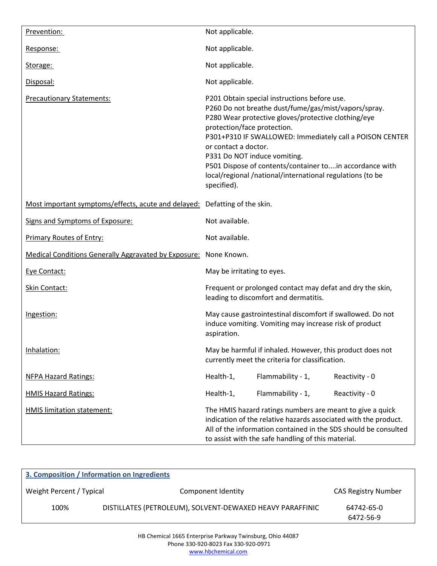| Prevention:                                                                | Not applicable.                                                                                                                                                                                                                                                                                                                                                                                                                                      |  |
|----------------------------------------------------------------------------|------------------------------------------------------------------------------------------------------------------------------------------------------------------------------------------------------------------------------------------------------------------------------------------------------------------------------------------------------------------------------------------------------------------------------------------------------|--|
| Response:                                                                  | Not applicable.                                                                                                                                                                                                                                                                                                                                                                                                                                      |  |
| Storage:                                                                   | Not applicable.                                                                                                                                                                                                                                                                                                                                                                                                                                      |  |
| Disposal:                                                                  | Not applicable.                                                                                                                                                                                                                                                                                                                                                                                                                                      |  |
| <b>Precautionary Statements:</b>                                           | P201 Obtain special instructions before use.<br>P260 Do not breathe dust/fume/gas/mist/vapors/spray.<br>P280 Wear protective gloves/protective clothing/eye<br>protection/face protection.<br>P301+P310 IF SWALLOWED: Immediately call a POISON CENTER<br>or contact a doctor.<br>P331 Do NOT induce vomiting.<br>P501 Dispose of contents/container toin accordance with<br>local/regional/national/international regulations (to be<br>specified). |  |
| Most important symptoms/effects, acute and delayed: Defatting of the skin. |                                                                                                                                                                                                                                                                                                                                                                                                                                                      |  |
| Signs and Symptoms of Exposure:                                            | Not available.                                                                                                                                                                                                                                                                                                                                                                                                                                       |  |
| <b>Primary Routes of Entry:</b>                                            | Not available.                                                                                                                                                                                                                                                                                                                                                                                                                                       |  |
| Medical Conditions Generally Aggravated by Exposure: None Known.           |                                                                                                                                                                                                                                                                                                                                                                                                                                                      |  |
| Eye Contact:                                                               | May be irritating to eyes.                                                                                                                                                                                                                                                                                                                                                                                                                           |  |
| Skin Contact:                                                              | Frequent or prolonged contact may defat and dry the skin,<br>leading to discomfort and dermatitis.                                                                                                                                                                                                                                                                                                                                                   |  |
| Ingestion:                                                                 | May cause gastrointestinal discomfort if swallowed. Do not<br>induce vomiting. Vomiting may increase risk of product<br>aspiration.                                                                                                                                                                                                                                                                                                                  |  |
| Inhalation:                                                                | May be harmful if inhaled. However, this product does not<br>currently meet the criteria for classification.                                                                                                                                                                                                                                                                                                                                         |  |
| <b>NFPA Hazard Ratings:</b>                                                | Flammability - 1,<br>Reactivity - 0<br>Health-1,                                                                                                                                                                                                                                                                                                                                                                                                     |  |
| <b>HMIS Hazard Ratings:</b>                                                | Flammability - 1,<br>Reactivity - 0<br>Health-1,                                                                                                                                                                                                                                                                                                                                                                                                     |  |
| HMIS limitation statement:                                                 | The HMIS hazard ratings numbers are meant to give a quick<br>indication of the relative hazards associated with the product.<br>All of the information contained in the SDS should be consulted<br>to assist with the safe handling of this material.                                                                                                                                                                                                |  |

| 3. Composition / Information on Ingredients |                                                           |                            |  |
|---------------------------------------------|-----------------------------------------------------------|----------------------------|--|
| Weight Percent / Typical                    | Component Identity                                        | <b>CAS Registry Number</b> |  |
| 100%                                        | DISTILLATES (PETROLEUM), SOLVENT-DEWAXED HEAVY PARAFFINIC | 64742-65-0<br>6472-56-9    |  |
|                                             |                                                           |                            |  |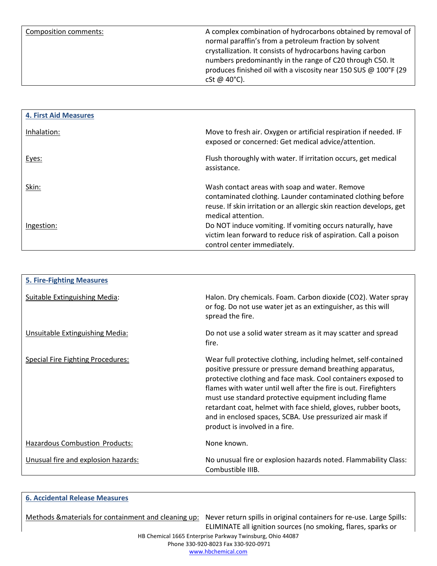Composition comments: Complex combination of hydrocarbons obtained by removal of normal paraffin's from a petroleum fraction by solvent crystallization. It consists of hydrocarbons having carbon numbers predominantly in the range of C20 through C50. It produces finished oil with a viscosity near 150 SUS @ 100°F (29 cSt @ 40°C).

| <b>4. First Aid Measures</b> |                                                                                                                                                                                                             |
|------------------------------|-------------------------------------------------------------------------------------------------------------------------------------------------------------------------------------------------------------|
| Inhalation:                  | Move to fresh air. Oxygen or artificial respiration if needed. IF<br>exposed or concerned: Get medical advice/attention.                                                                                    |
| Eyes:                        | Flush thoroughly with water. If irritation occurs, get medical<br>assistance.                                                                                                                               |
| Skin:                        | Wash contact areas with soap and water. Remove<br>contaminated clothing. Launder contaminated clothing before<br>reuse. If skin irritation or an allergic skin reaction develops, get<br>medical attention. |
| Ingestion:                   | Do NOT induce vomiting. If vomiting occurs naturally, have<br>victim lean forward to reduce risk of aspiration. Call a poison<br>control center immediately.                                                |

| <b>5. Fire-Fighting Measures</b>         |                                                                                                                                                                                                                                                                                                                                                                                                                                                                                              |
|------------------------------------------|----------------------------------------------------------------------------------------------------------------------------------------------------------------------------------------------------------------------------------------------------------------------------------------------------------------------------------------------------------------------------------------------------------------------------------------------------------------------------------------------|
| <b>Suitable Extinguishing Media:</b>     | Halon. Dry chemicals. Foam. Carbon dioxide (CO2). Water spray<br>or fog. Do not use water jet as an extinguisher, as this will<br>spread the fire.                                                                                                                                                                                                                                                                                                                                           |
| Unsuitable Extinguishing Media:          | Do not use a solid water stream as it may scatter and spread<br>fire.                                                                                                                                                                                                                                                                                                                                                                                                                        |
| <b>Special Fire Fighting Procedures:</b> | Wear full protective clothing, including helmet, self-contained<br>positive pressure or pressure demand breathing apparatus,<br>protective clothing and face mask. Cool containers exposed to<br>flames with water until well after the fire is out. Firefighters<br>must use standard protective equipment including flame<br>retardant coat, helmet with face shield, gloves, rubber boots,<br>and in enclosed spaces, SCBA. Use pressurized air mask if<br>product is involved in a fire. |
| <b>Hazardous Combustion Products:</b>    | None known.                                                                                                                                                                                                                                                                                                                                                                                                                                                                                  |
| Unusual fire and explosion hazards:      | No unusual fire or explosion hazards noted. Flammability Class:<br>Combustible IIIB.                                                                                                                                                                                                                                                                                                                                                                                                         |

## **6. Accidental Release Measures**

HB Chemical 1665 Enterprise Parkway Twinsburg, Ohio 44087 Methods &materials for containment and cleaning up: Never return spills in original containers for re-use. Large Spills: ELIMINATE all ignition sources (no smoking, flares, sparks or

Phone 330-920-8023 Fax 330-920-0971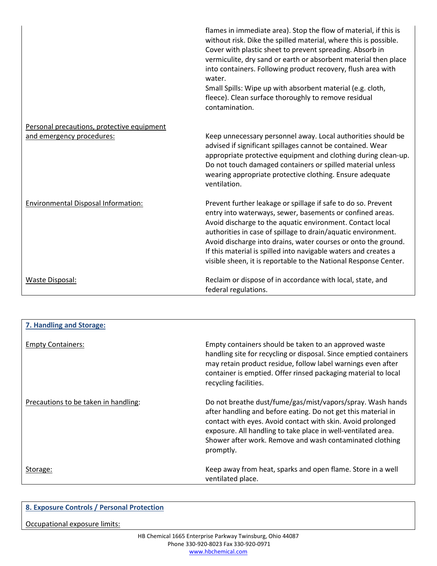|                                                                         | flames in immediate area). Stop the flow of material, if this is<br>without risk. Dike the spilled material, where this is possible.<br>Cover with plastic sheet to prevent spreading. Absorb in<br>vermiculite, dry sand or earth or absorbent material then place<br>into containers. Following product recovery, flush area with<br>water.<br>Small Spills: Wipe up with absorbent material (e.g. cloth,<br>fleece). Clean surface thoroughly to remove residual<br>contamination. |
|-------------------------------------------------------------------------|---------------------------------------------------------------------------------------------------------------------------------------------------------------------------------------------------------------------------------------------------------------------------------------------------------------------------------------------------------------------------------------------------------------------------------------------------------------------------------------|
| Personal precautions, protective equipment<br>and emergency procedures: | Keep unnecessary personnel away. Local authorities should be<br>advised if significant spillages cannot be contained. Wear<br>appropriate protective equipment and clothing during clean-up.<br>Do not touch damaged containers or spilled material unless<br>wearing appropriate protective clothing. Ensure adequate<br>ventilation.                                                                                                                                                |
| Environmental Disposal Information:                                     | Prevent further leakage or spillage if safe to do so. Prevent<br>entry into waterways, sewer, basements or confined areas.<br>Avoid discharge to the aquatic environment. Contact local<br>authorities in case of spillage to drain/aquatic environment.<br>Avoid discharge into drains, water courses or onto the ground.<br>If this material is spilled into navigable waters and creates a<br>visible sheen, it is reportable to the National Response Center.                     |
| Waste Disposal:                                                         | Reclaim or dispose of in accordance with local, state, and<br>federal regulations.                                                                                                                                                                                                                                                                                                                                                                                                    |

| 7. Handling and Storage:             |                                                                                                                                                                                                                                                                                                                                      |
|--------------------------------------|--------------------------------------------------------------------------------------------------------------------------------------------------------------------------------------------------------------------------------------------------------------------------------------------------------------------------------------|
| <b>Empty Containers:</b>             | Empty containers should be taken to an approved waste<br>handling site for recycling or disposal. Since emptied containers<br>may retain product residue, follow label warnings even after<br>container is emptied. Offer rinsed packaging material to local<br>recycling facilities.                                                |
| Precautions to be taken in handling: | Do not breathe dust/fume/gas/mist/vapors/spray. Wash hands<br>after handling and before eating. Do not get this material in<br>contact with eyes. Avoid contact with skin. Avoid prolonged<br>exposure. All handling to take place in well-ventilated area.<br>Shower after work. Remove and wash contaminated clothing<br>promptly. |
| Storage:                             | Keep away from heat, sparks and open flame. Store in a well<br>ventilated place.                                                                                                                                                                                                                                                     |

| 8. Exposure Controls / Personal Protection                |
|-----------------------------------------------------------|
| Occupational exposure limits:                             |
| HD Chamical 1665 Enterprise Darkway Twinsburg, Obje 44087 |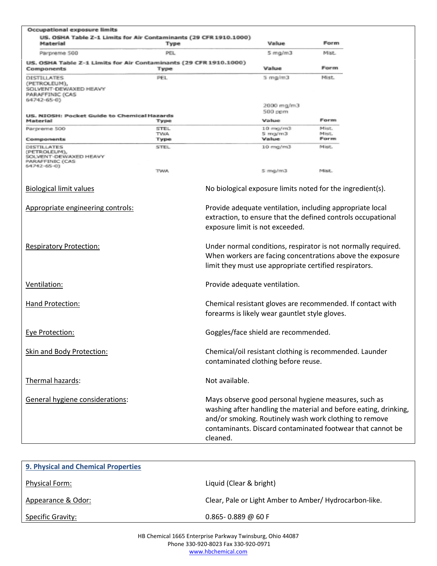| Occupational exposure limits                                                                  |                     |                                 |                                                |                                                                                                                                                                                                                                                  |  |
|-----------------------------------------------------------------------------------------------|---------------------|---------------------------------|------------------------------------------------|--------------------------------------------------------------------------------------------------------------------------------------------------------------------------------------------------------------------------------------------------|--|
| US. OSHA Table Z-1 Limits for Air Contaminants (29 CFR 1910.1000)<br>Material                 | Туре                |                                 | Value                                          | Form,                                                                                                                                                                                                                                            |  |
| Parpreme 500                                                                                  | PEL                 |                                 | 5 mg/m3                                        | MISE                                                                                                                                                                                                                                             |  |
| US. OSHA Table Z-1 Limits for Air Contaminants (29 CFR 1910.1000)<br>Components               | Type                |                                 | Value                                          | Form                                                                                                                                                                                                                                             |  |
| <b>DISTRUATES</b><br>(PETROLEUM),<br>VENT-DEWAXED HEAVY<br>PARAFFINIC (CAS<br>64742-65-0)     | PEL.                |                                 | $5 \text{ rad/m3}$                             | Mist.                                                                                                                                                                                                                                            |  |
|                                                                                               |                     |                                 | 2000 mg/m3<br>500 ppm                          |                                                                                                                                                                                                                                                  |  |
| US. NIOSH: Pocket Guide to Chemical Hazards<br>Material                                       | Type                |                                 | Value                                          | Form                                                                                                                                                                                                                                             |  |
| Parpreme 500                                                                                  | <b>STEL</b><br>TWA. |                                 | $10$ mg/m3<br>$5 \text{ rad/m}$ 3              | Mist.<br>Mist.                                                                                                                                                                                                                                   |  |
| Components                                                                                    | Туре                |                                 | Value                                          | Form                                                                                                                                                                                                                                             |  |
| <b>DISTILLATES</b><br>(PETROLEUM),<br>SOLVENT-DEWAXED HEAVY<br>PARAFFINIC (CAS<br>64742-65-01 | <b>STEL</b>         |                                 | 10 mg/m3                                       | Mist.                                                                                                                                                                                                                                            |  |
|                                                                                               | TWA.                |                                 | 5 mg/m3                                        | Mist.                                                                                                                                                                                                                                            |  |
| <b>Biological limit values</b>                                                                |                     |                                 |                                                | No biological exposure limits noted for the ingredient(s).                                                                                                                                                                                       |  |
| Appropriate engineering controls:                                                             |                     | exposure limit is not exceeded. |                                                | Provide adequate ventilation, including appropriate local<br>extraction, to ensure that the defined controls occupational                                                                                                                        |  |
| <b>Respiratory Protection:</b>                                                                |                     |                                 |                                                | Under normal conditions, respirator is not normally required.<br>When workers are facing concentrations above the exposure<br>limit they must use appropriate certified respirators.                                                             |  |
| Ventilation:                                                                                  |                     | Provide adequate ventilation.   |                                                |                                                                                                                                                                                                                                                  |  |
| Hand Protection:                                                                              |                     |                                 | forearms is likely wear gauntlet style gloves. | Chemical resistant gloves are recommended. If contact with                                                                                                                                                                                       |  |
| Eye Protection:                                                                               |                     |                                 | Goggles/face shield are recommended.           |                                                                                                                                                                                                                                                  |  |
| <b>Skin and Body Protection:</b>                                                              |                     |                                 | contaminated clothing before reuse.            | Chemical/oil resistant clothing is recommended. Launder                                                                                                                                                                                          |  |
| Thermal hazards:                                                                              |                     | Not available.                  |                                                |                                                                                                                                                                                                                                                  |  |
| General hygiene considerations:                                                               |                     | cleaned.                        |                                                | Mays observe good personal hygiene measures, such as<br>washing after handling the material and before eating, drinking,<br>and/or smoking. Routinely wash work clothing to remove<br>contaminants. Discard contaminated footwear that cannot be |  |

| 9. Physical and Chemical Properties |                                                        |
|-------------------------------------|--------------------------------------------------------|
| Physical Form:                      | Liquid (Clear & bright)                                |
| Appearance & Odor:                  | Clear, Pale or Light Amber to Amber/ Hydrocarbon-like. |
| <b>Specific Gravity:</b>            | $0.865 - 0.889 \omega 60 F$                            |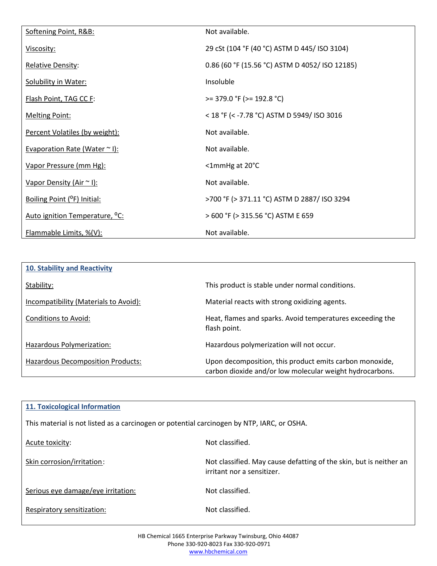| Softening Point, R&B:                      | Not available.                                 |
|--------------------------------------------|------------------------------------------------|
| Viscosity:                                 | 29 cSt (104 °F (40 °C) ASTM D 445/ ISO 3104)   |
| <b>Relative Density:</b>                   | 0.86 (60 °F (15.56 °C) ASTM D 4052/ ISO 12185) |
| <b>Solubility in Water:</b>                | Insoluble                                      |
| Flash Point, TAG CC F:                     | $>= 379.0$ °F ( $>= 192.8$ °C)                 |
| <b>Melting Point:</b>                      | < 18 °F (< -7.78 °C) ASTM D 5949/ ISO 3016     |
| Percent Volatiles (by weight):             | Not available.                                 |
| Evaporation Rate (Water $\sim$ I):         | Not available.                                 |
| Vapor Pressure (mm Hg):                    | <1mmHg at 20°C                                 |
| Vapor Density (Air ~ I):                   | Not available.                                 |
| Boiling Point ( <sup>O</sup> F) Initial:   | >700 °F (> 371.11 °C) ASTM D 2887/ ISO 3294    |
| Auto ignition Temperature, <sup>o</sup> C: | > 600 °F (> 315.56 °C) ASTM E 659              |
| Flammable Limits, %(V):                    | Not available.                                 |

| 10. Stability and Reactivity          |                                                                                                                     |
|---------------------------------------|---------------------------------------------------------------------------------------------------------------------|
| Stability:                            | This product is stable under normal conditions.                                                                     |
| Incompatibility (Materials to Avoid): | Material reacts with strong oxidizing agents.                                                                       |
| Conditions to Avoid:                  | Heat, flames and sparks. Avoid temperatures exceeding the<br>flash point.                                           |
| Hazardous Polymerization:             | Hazardous polymerization will not occur.                                                                            |
| Hazardous Decomposition Products:     | Upon decomposition, this product emits carbon monoxide,<br>carbon dioxide and/or low molecular weight hydrocarbons. |

| <b>11. Toxicological Information</b>                                                       |                                                                                                  |  |
|--------------------------------------------------------------------------------------------|--------------------------------------------------------------------------------------------------|--|
| This material is not listed as a carcinogen or potential carcinogen by NTP, IARC, or OSHA. |                                                                                                  |  |
| Acute toxicity:                                                                            | Not classified.                                                                                  |  |
| Skin corrosion/irritation:                                                                 | Not classified. May cause defatting of the skin, but is neither an<br>irritant nor a sensitizer. |  |
| Serious eye damage/eye irritation:                                                         | Not classified.                                                                                  |  |
| Respiratory sensitization:                                                                 | Not classified.                                                                                  |  |
|                                                                                            |                                                                                                  |  |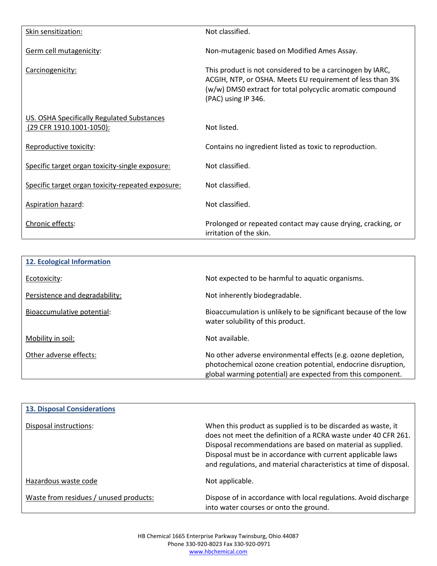| Skin sensitization:                                                    | Not classified.                                                                                                                                                                                             |
|------------------------------------------------------------------------|-------------------------------------------------------------------------------------------------------------------------------------------------------------------------------------------------------------|
| Germ cell mutagenicity:                                                | Non-mutagenic based on Modified Ames Assay.                                                                                                                                                                 |
| Carcinogenicity:                                                       | This product is not considered to be a carcinogen by IARC,<br>ACGIH, NTP, or OSHA. Meets EU requirement of less than 3%<br>(w/w) DMS0 extract for total polycyclic aromatic compound<br>(PAC) using IP 346. |
| US. OSHA Specifically Regulated Substances<br>(29 CFR 1910.1001-1050): | Not listed.                                                                                                                                                                                                 |
| Reproductive toxicity:                                                 | Contains no ingredient listed as toxic to reproduction.                                                                                                                                                     |
| Specific target organ toxicity-single exposure:                        | Not classified.                                                                                                                                                                                             |
| Specific target organ toxicity-repeated exposure:                      | Not classified.                                                                                                                                                                                             |
| Aspiration hazard:                                                     | Not classified.                                                                                                                                                                                             |
| Chronic effects:                                                       | Prolonged or repeated contact may cause drying, cracking, or<br>irritation of the skin.                                                                                                                     |

| 12. Ecological Information     |                                                                                                                                                                                               |
|--------------------------------|-----------------------------------------------------------------------------------------------------------------------------------------------------------------------------------------------|
| Ecotoxicity:                   | Not expected to be harmful to aquatic organisms.                                                                                                                                              |
| Persistence and degradability: | Not inherently biodegradable.                                                                                                                                                                 |
| Bioaccumulative potential:     | Bioaccumulation is unlikely to be significant because of the low<br>water solubility of this product.                                                                                         |
| Mobility in soil:              | Not available.                                                                                                                                                                                |
| Other adverse effects:         | No other adverse environmental effects (e.g. ozone depletion,<br>photochemical ozone creation potential, endocrine disruption,<br>global warming potential) are expected from this component. |

| <b>13. Disposal Considerations</b>     |                                                                                                                                                                                                                                                                                                                                     |
|----------------------------------------|-------------------------------------------------------------------------------------------------------------------------------------------------------------------------------------------------------------------------------------------------------------------------------------------------------------------------------------|
| Disposal instructions:                 | When this product as supplied is to be discarded as waste, it<br>does not meet the definition of a RCRA waste under 40 CFR 261.<br>Disposal recommendations are based on material as supplied.<br>Disposal must be in accordance with current applicable laws<br>and regulations, and material characteristics at time of disposal. |
| Hazardous waste code                   | Not applicable.                                                                                                                                                                                                                                                                                                                     |
| Waste from residues / unused products: | Dispose of in accordance with local regulations. Avoid discharge<br>into water courses or onto the ground.                                                                                                                                                                                                                          |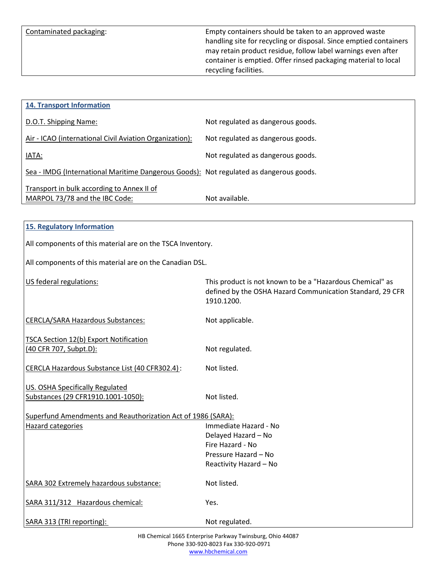Contaminated packaging: Empty containers should be taken to an approved waste handling site for recycling or disposal. Since emptied containers may retain product residue, follow label warnings even after container is emptied. Offer rinsed packaging material to local recycling facilities.

| <b>14. Transport Information</b>                                                       |                                   |
|----------------------------------------------------------------------------------------|-----------------------------------|
| D.O.T. Shipping Name:                                                                  | Not regulated as dangerous goods. |
| Air - ICAO (international Civil Aviation Organization):                                | Not regulated as dangerous goods. |
| IATA:                                                                                  | Not regulated as dangerous goods. |
| Sea - IMDG (International Maritime Dangerous Goods): Not regulated as dangerous goods. |                                   |
| Transport in bulk according to Annex II of<br>MARPOL 73/78 and the IBC Code:           | Not available.                    |

|  | 15. Regulatory Information |
|--|----------------------------|
|  |                            |

All components of this material are on the TSCA Inventory.

All components of this material are on the Canadian DSL.

| US federal regulations:                                                      | This product is not known to be a "Hazardous Chemical" as<br>defined by the OSHA Hazard Communication Standard, 29 CFR<br>1910.1200. |  |
|------------------------------------------------------------------------------|--------------------------------------------------------------------------------------------------------------------------------------|--|
| <b>CERCLA/SARA Hazardous Substances:</b>                                     | Not applicable.                                                                                                                      |  |
| <b>TSCA Section 12(b) Export Notification</b><br>(40 CFR 707, Subpt.D):      | Not regulated.                                                                                                                       |  |
| CERCLA Hazardous Substance List (40 CFR302.4):                               | Not listed.                                                                                                                          |  |
| <b>US. OSHA Specifically Regulated</b><br>Substances (29 CFR1910.1001-1050): | Not listed.                                                                                                                          |  |
| Superfund Amendments and Reauthorization Act of 1986 (SARA):                 |                                                                                                                                      |  |
| Hazard categories                                                            | Immediate Hazard - No                                                                                                                |  |
|                                                                              | Delayed Hazard - No                                                                                                                  |  |
|                                                                              | Fire Hazard - No                                                                                                                     |  |
|                                                                              | Pressure Hazard - No<br>Reactivity Hazard - No                                                                                       |  |
| SARA 302 Extremely hazardous substance:                                      | Not listed.                                                                                                                          |  |
| SARA 311/312 Hazardous chemical:                                             | Yes.                                                                                                                                 |  |
| SARA 313 (TRI reporting):                                                    | Not regulated.                                                                                                                       |  |